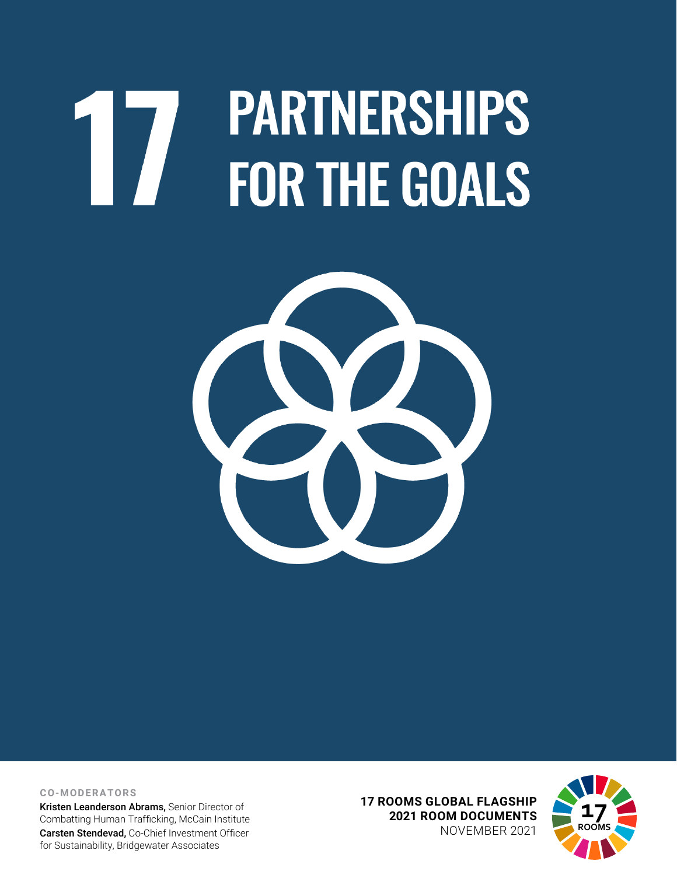# **PARTNERSHIPS** 17 **FOR THE GOALS**



**CO-MODERATORS**

Kristen Leanderson Abrams, Senior Director of Combatting Human Trafficking, McCain Institute Carsten Stendevad, Co-Chief Investment Officer for Sustainability, Bridgewater Associates

**17 ROOMS GLOBAL FLAGSHIP 2021 ROOM DOCUMENTS** NOVEMBER 2021

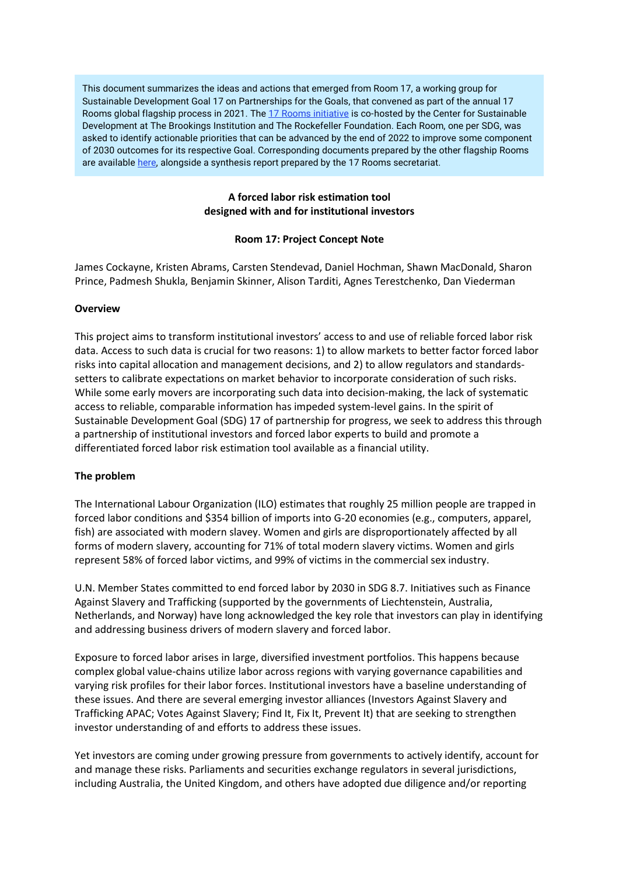This document summarizes the ideas and actions that emerged from Room 17, a working group for Sustainable Development Goal 17 on Partnerships for the Goals, that convened as part of the annual 17 Rooms global flagship process in 2021. Th[e 17 Rooms initiative](https://www.brookings.edu/project/17-rooms/) is co-hosted by the Center for Sustainable Development at The Brookings Institution and The Rockefeller Foundation. Each Room, one per SDG, was asked to identify actionable priorities that can be advanced by the end of 2022 to improve some component of 2030 outcomes for its respective Goal. Corresponding documents prepared by the other flagship Rooms are availabl[e here,](http://www.brookings.edu/17rooms2021) alongside a synthesis report prepared by the 17 Rooms secretariat.

# **A forced labor risk estimation tool designed with and for institutional investors**

## **Room 17: Project Concept Note**

James Cockayne, Kristen Abrams, Carsten Stendevad, Daniel Hochman, Shawn MacDonald, Sharon Prince, Padmesh Shukla, Benjamin Skinner, Alison Tarditi, Agnes Terestchenko, Dan Viederman

#### **Overview**

This project aims to transform institutional investors' access to and use of reliable forced labor risk data. Access to such data is crucial for two reasons: 1) to allow markets to better factor forced labor risks into capital allocation and management decisions, and 2) to allow regulators and standardssetters to calibrate expectations on market behavior to incorporate consideration of such risks. While some early movers are incorporating such data into decision-making, the lack of systematic access to reliable, comparable information has impeded system-level gains. In the spirit of Sustainable Development Goal (SDG) 17 of partnership for progress, we seek to address this through a partnership of institutional investors and forced labor experts to build and promote a differentiated forced labor risk estimation tool available as a financial utility.

#### **The problem**

The International Labour Organization (ILO) estimates that roughly 25 million people are trapped in forced labor conditions and \$354 billion of imports into G-20 economies (e.g., computers, apparel, fish) are associated with modern slavey. Women and girls are disproportionately affected by all forms of modern slavery, accounting for 71% of total modern slavery victims. Women and girls represent 58% of forced labor victims, and 99% of victims in the commercial sex industry.

U.N. Member States committed to end forced labor by 2030 in SDG 8.7. Initiatives such as Finance Against Slavery and Trafficking (supported by the governments of Liechtenstein, Australia, Netherlands, and Norway) have long acknowledged the key role that investors can play in identifying and addressing business drivers of modern slavery and forced labor.

Exposure to forced labor arises in large, diversified investment portfolios. This happens because complex global value-chains utilize labor across regions with varying governance capabilities and varying risk profiles for their labor forces. Institutional investors have a baseline understanding of these issues. And there are several emerging investor alliances (Investors Against Slavery and Trafficking APAC; Votes Against Slavery; Find It, Fix It, Prevent It) that are seeking to strengthen investor understanding of and efforts to address these issues.

Yet investors are coming under growing pressure from governments to actively identify, account for and manage these risks. Parliaments and securities exchange regulators in several jurisdictions, including Australia, the United Kingdom, and others have adopted due diligence and/or reporting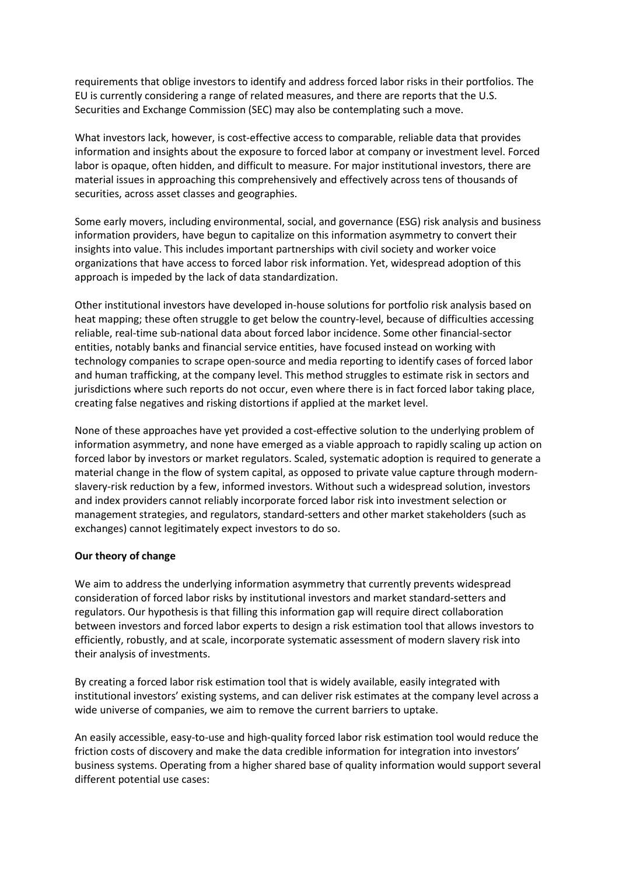requirements that oblige investors to identify and address forced labor risks in their portfolios. The EU is currently considering a range of related measures, and there are reports that the U.S. Securities and Exchange Commission (SEC) may also be contemplating such a move.

What investors lack, however, is cost-effective access to comparable, reliable data that provides information and insights about the exposure to forced labor at company or investment level. Forced labor is opaque, often hidden, and difficult to measure. For major institutional investors, there are material issues in approaching this comprehensively and effectively across tens of thousands of securities, across asset classes and geographies.

Some early movers, including environmental, social, and governance (ESG) risk analysis and business information providers, have begun to capitalize on this information asymmetry to convert their insights into value. This includes important partnerships with civil society and worker voice organizations that have access to forced labor risk information. Yet, widespread adoption of this approach is impeded by the lack of data standardization.

Other institutional investors have developed in-house solutions for portfolio risk analysis based on heat mapping; these often struggle to get below the country-level, because of difficulties accessing reliable, real-time sub-national data about forced labor incidence. Some other financial-sector entities, notably banks and financial service entities, have focused instead on working with technology companies to scrape open-source and media reporting to identify cases of forced labor and human trafficking, at the company level. This method struggles to estimate risk in sectors and jurisdictions where such reports do not occur, even where there is in fact forced labor taking place, creating false negatives and risking distortions if applied at the market level.

None of these approaches have yet provided a cost-effective solution to the underlying problem of information asymmetry, and none have emerged as a viable approach to rapidly scaling up action on forced labor by investors or market regulators. Scaled, systematic adoption is required to generate a material change in the flow of system capital, as opposed to private value capture through modernslavery-risk reduction by a few, informed investors. Without such a widespread solution, investors and index providers cannot reliably incorporate forced labor risk into investment selection or management strategies, and regulators, standard-setters and other market stakeholders (such as exchanges) cannot legitimately expect investors to do so.

#### **Our theory of change**

We aim to address the underlying information asymmetry that currently prevents widespread consideration of forced labor risks by institutional investors and market standard-setters and regulators. Our hypothesis is that filling this information gap will require direct collaboration between investors and forced labor experts to design a risk estimation tool that allows investors to efficiently, robustly, and at scale, incorporate systematic assessment of modern slavery risk into their analysis of investments.

By creating a forced labor risk estimation tool that is widely available, easily integrated with institutional investors' existing systems, and can deliver risk estimates at the company level across a wide universe of companies, we aim to remove the current barriers to uptake.

An easily accessible, easy-to-use and high-quality forced labor risk estimation tool would reduce the friction costs of discovery and make the data credible information for integration into investors' business systems. Operating from a higher shared base of quality information would support several different potential use cases: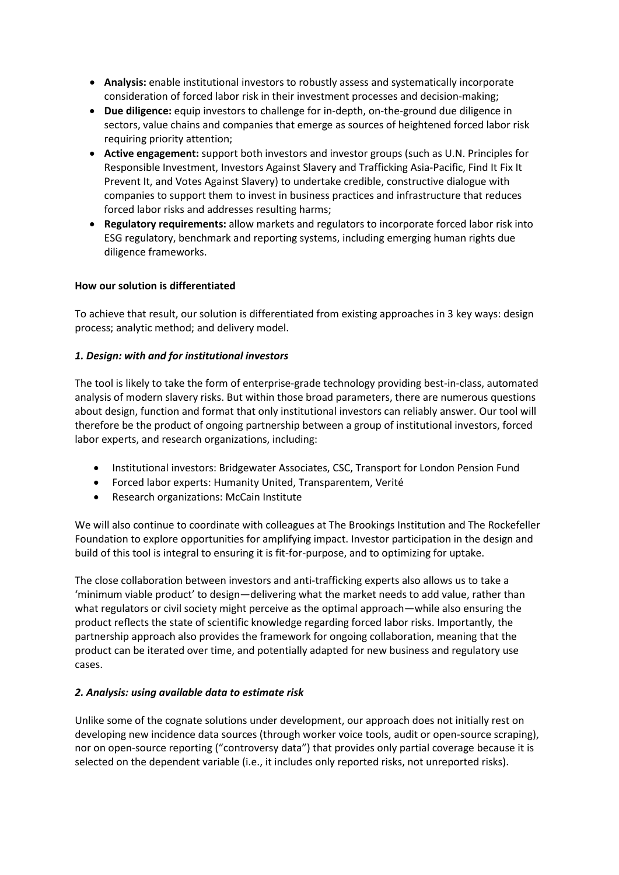- **Analysis:** enable institutional investors to robustly assess and systematically incorporate consideration of forced labor risk in their investment processes and decision-making;
- **Due diligence:** equip investors to challenge for in-depth, on-the-ground due diligence in sectors, value chains and companies that emerge as sources of heightened forced labor risk requiring priority attention;
- **Active engagement:** support both investors and investor groups (such as U.N. Principles for Responsible Investment, Investors Against Slavery and Trafficking Asia-Pacific, Find It Fix It Prevent It, and Votes Against Slavery) to undertake credible, constructive dialogue with companies to support them to invest in business practices and infrastructure that reduces forced labor risks and addresses resulting harms;
- **Regulatory requirements:** allow markets and regulators to incorporate forced labor risk into ESG regulatory, benchmark and reporting systems, including emerging human rights due diligence frameworks.

# **How our solution is differentiated**

To achieve that result, our solution is differentiated from existing approaches in 3 key ways: design process; analytic method; and delivery model.

## *1. Design: with and for institutional investors*

The tool is likely to take the form of enterprise-grade technology providing best-in-class, automated analysis of modern slavery risks. But within those broad parameters, there are numerous questions about design, function and format that only institutional investors can reliably answer. Our tool will therefore be the product of ongoing partnership between a group of institutional investors, forced labor experts, and research organizations, including:

- Institutional investors: Bridgewater Associates, CSC, Transport for London Pension Fund
- Forced labor experts: Humanity United, Transparentem, Verité
- Research organizations: McCain Institute

We will also continue to coordinate with colleagues at The Brookings Institution and The Rockefeller Foundation to explore opportunities for amplifying impact. Investor participation in the design and build of this tool is integral to ensuring it is fit-for-purpose, and to optimizing for uptake.

The close collaboration between investors and anti-trafficking experts also allows us to take a 'minimum viable product' to design—delivering what the market needs to add value, rather than what regulators or civil society might perceive as the optimal approach—while also ensuring the product reflects the state of scientific knowledge regarding forced labor risks. Importantly, the partnership approach also provides the framework for ongoing collaboration, meaning that the product can be iterated over time, and potentially adapted for new business and regulatory use cases.

# *2. Analysis: using available data to estimate risk*

Unlike some of the cognate solutions under development, our approach does not initially rest on developing new incidence data sources (through worker voice tools, audit or open-source scraping), nor on open-source reporting ("controversy data") that provides only partial coverage because it is selected on the dependent variable (i.e., it includes only reported risks, not unreported risks).